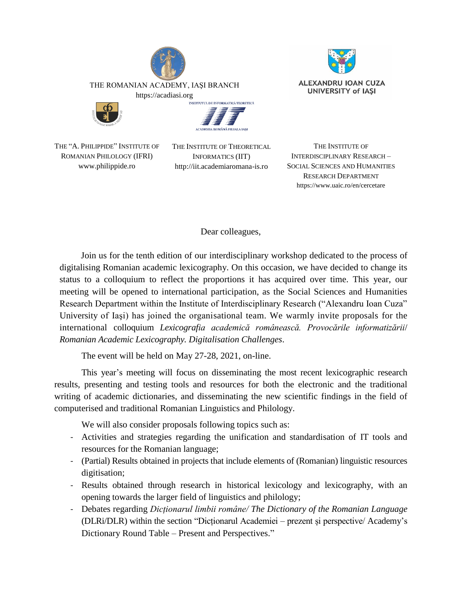







THE "A. PHILIPPIDE" INSTITUTE OF ROMANIAN PHILOLOGY (IFRI) www.philippide.ro

THE INSTITUTE OF THEORETICAL INFORMATICS (IIT) http://iit.academiaromana-is.ro

THE INSTITUTE OF INTERDISCIPLINARY RESEARCH – SOCIAL SCIENCES AND HUMANITIES RESEARCH DEPARTMENT https://www.uaic.ro/en/cercetare

## Dear colleagues,

Join us for the tenth edition of our interdisciplinary workshop dedicated to the process of digitalising Romanian academic lexicography. On this occasion, we have decided to change its status to a colloquium to reflect the proportions it has acquired over time. This year, our meeting will be opened to international participation, as the Social Sciences and Humanities Research Department within the Institute of Interdisciplinary Research ("Alexandru Ioan Cuza" University of Iaşi) has joined the organisational team. We warmly invite proposals for the international colloquium *Lexicografia academică românească. Provocările informatizării*/ *Romanian Academic Lexicography. Digitalisation Challenges*.

The event will be held on May 27-28, 2021, on-line.

This year's meeting will focus on disseminating the most recent lexicographic research results, presenting and testing tools and resources for both the electronic and the traditional writing of academic dictionaries, and disseminating the new scientific findings in the field of computerised and traditional Romanian Linguistics and Philology.

We will also consider proposals following topics such as:

- Activities and strategies regarding the unification and standardisation of IT tools and resources for the Romanian language;
- (Partial) Results obtained in projects that include elements of (Romanian) linguistic resources digitisation;
- Results obtained through research in historical lexicology and lexicography, with an opening towards the larger field of linguistics and philology;
- Debates regarding *Dicționarul limbii române/ The Dictionary of the Romanian Language* (DLRi/DLR) within the section "Dicționarul Academiei – prezent și perspective/ Academy's Dictionary Round Table – Present and Perspectives."